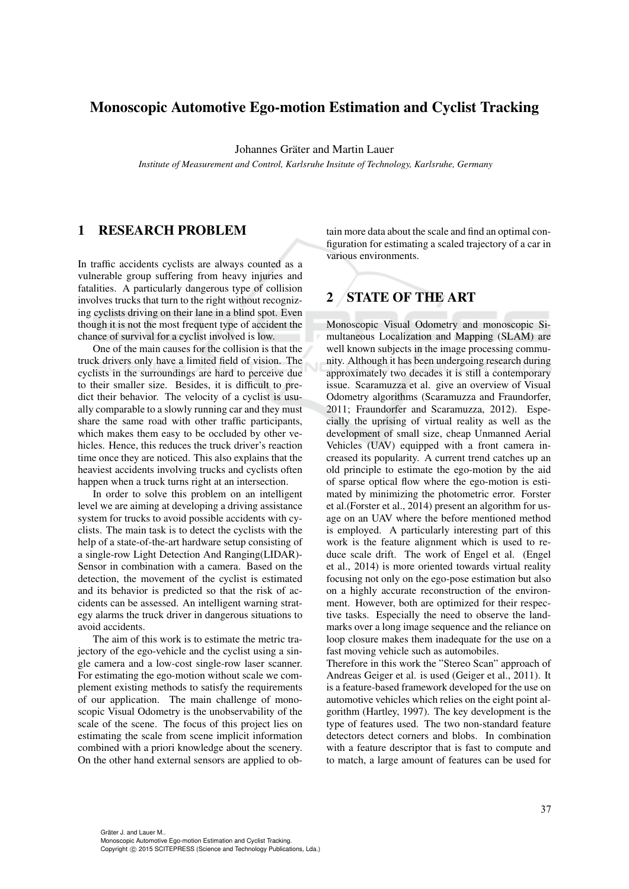# Monoscopic Automotive Ego-motion Estimation and Cyclist Tracking

Johannes Gräter and Martin Lauer

*Institute of Measurement and Control, Karlsruhe Insitute of Technology, Karlsruhe, Germany*

### 1 RESEARCH PROBLEM

In traffic accidents cyclists are always counted as a vulnerable group suffering from heavy injuries and fatalities. A particularly dangerous type of collision involves trucks that turn to the right without recognizing cyclists driving on their lane in a blind spot. Even though it is not the most frequent type of accident the chance of survival for a cyclist involved is low.

One of the main causes for the collision is that the truck drivers only have a limited field of vision. The cyclists in the surroundings are hard to perceive due to their smaller size. Besides, it is difficult to predict their behavior. The velocity of a cyclist is usually comparable to a slowly running car and they must share the same road with other traffic participants, which makes them easy to be occluded by other vehicles. Hence, this reduces the truck driver's reaction time once they are noticed. This also explains that the heaviest accidents involving trucks and cyclists often happen when a truck turns right at an intersection.

In order to solve this problem on an intelligent level we are aiming at developing a driving assistance system for trucks to avoid possible accidents with cyclists. The main task is to detect the cyclists with the help of a state-of-the-art hardware setup consisting of a single-row Light Detection And Ranging(LIDAR)- Sensor in combination with a camera. Based on the detection, the movement of the cyclist is estimated and its behavior is predicted so that the risk of accidents can be assessed. An intelligent warning strategy alarms the truck driver in dangerous situations to avoid accidents.

The aim of this work is to estimate the metric trajectory of the ego-vehicle and the cyclist using a single camera and a low-cost single-row laser scanner. For estimating the ego-motion without scale we complement existing methods to satisfy the requirements of our application. The main challenge of monoscopic Visual Odometry is the unobservability of the scale of the scene. The focus of this project lies on estimating the scale from scene implicit information combined with a priori knowledge about the scenery. On the other hand external sensors are applied to obtain more data about the scale and find an optimal configuration for estimating a scaled trajectory of a car in various environments.

# 2 STATE OF THE ART

Monoscopic Visual Odometry and monoscopic Simultaneous Localization and Mapping (SLAM) are well known subjects in the image processing community. Although it has been undergoing research during approximately two decades it is still a contemporary issue. Scaramuzza et al. give an overview of Visual Odometry algorithms (Scaramuzza and Fraundorfer, 2011; Fraundorfer and Scaramuzza, 2012). Especially the uprising of virtual reality as well as the development of small size, cheap Unmanned Aerial Vehicles (UAV) equipped with a front camera increased its popularity. A current trend catches up an old principle to estimate the ego-motion by the aid of sparse optical flow where the ego-motion is estimated by minimizing the photometric error. Forster et al.(Forster et al., 2014) present an algorithm for usage on an UAV where the before mentioned method is employed. A particularly interesting part of this work is the feature alignment which is used to reduce scale drift. The work of Engel et al. (Engel et al., 2014) is more oriented towards virtual reality focusing not only on the ego-pose estimation but also on a highly accurate reconstruction of the environment. However, both are optimized for their respective tasks. Especially the need to observe the landmarks over a long image sequence and the reliance on loop closure makes them inadequate for the use on a fast moving vehicle such as automobiles.

Therefore in this work the "Stereo Scan" approach of Andreas Geiger et al. is used (Geiger et al., 2011). It is a feature-based framework developed for the use on automotive vehicles which relies on the eight point algorithm (Hartley, 1997). The key development is the type of features used. The two non-standard feature detectors detect corners and blobs. In combination with a feature descriptor that is fast to compute and to match, a large amount of features can be used for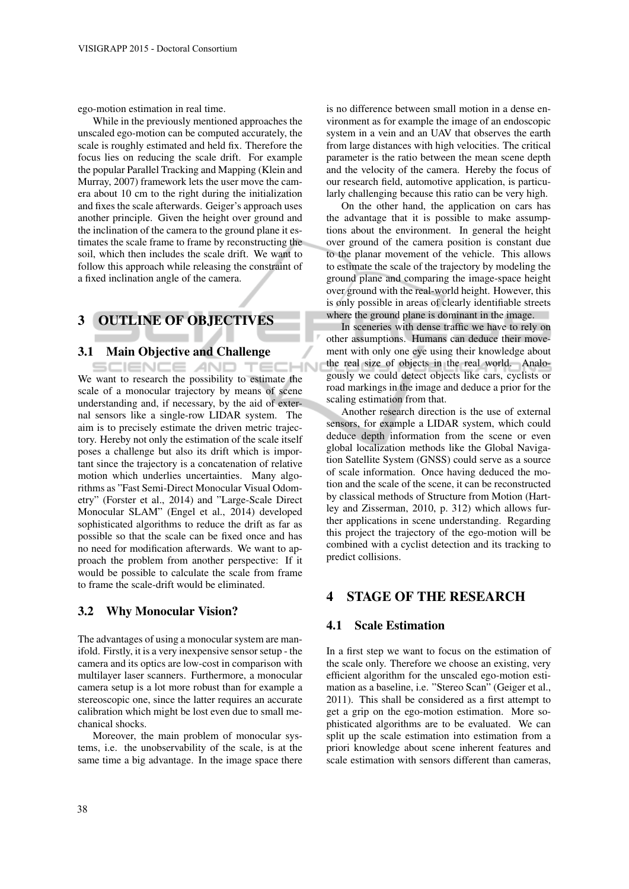ego-motion estimation in real time.

While in the previously mentioned approaches the unscaled ego-motion can be computed accurately, the scale is roughly estimated and held fix. Therefore the focus lies on reducing the scale drift. For example the popular Parallel Tracking and Mapping (Klein and Murray, 2007) framework lets the user move the camera about 10 cm to the right during the initialization and fixes the scale afterwards. Geiger's approach uses another principle. Given the height over ground and the inclination of the camera to the ground plane it estimates the scale frame to frame by reconstructing the soil, which then includes the scale drift. We want to follow this approach while releasing the constraint of a fixed inclination angle of the camera.

# 3 OUTLINE OF OBJECTIVES

### 3.1 Main Objective and Challenge

SCIENCE *A*ND TEC We want to research the possibility to estimate the scale of a monocular trajectory by means of scene understanding and, if necessary, by the aid of external sensors like a single-row LIDAR system. The aim is to precisely estimate the driven metric trajectory. Hereby not only the estimation of the scale itself poses a challenge but also its drift which is important since the trajectory is a concatenation of relative motion which underlies uncertainties. Many algorithms as "Fast Semi-Direct Monocular Visual Odometry" (Forster et al., 2014) and "Large-Scale Direct Monocular SLAM" (Engel et al., 2014) developed sophisticated algorithms to reduce the drift as far as possible so that the scale can be fixed once and has no need for modification afterwards. We want to approach the problem from another perspective: If it would be possible to calculate the scale from frame to frame the scale-drift would be eliminated.

### 3.2 Why Monocular Vision?

The advantages of using a monocular system are manifold. Firstly, it is a very inexpensive sensor setup - the camera and its optics are low-cost in comparison with multilayer laser scanners. Furthermore, a monocular camera setup is a lot more robust than for example a stereoscopic one, since the latter requires an accurate calibration which might be lost even due to small mechanical shocks.

Moreover, the main problem of monocular systems, i.e. the unobservability of the scale, is at the same time a big advantage. In the image space there is no difference between small motion in a dense environment as for example the image of an endoscopic system in a vein and an UAV that observes the earth from large distances with high velocities. The critical parameter is the ratio between the mean scene depth and the velocity of the camera. Hereby the focus of our research field, automotive application, is particularly challenging because this ratio can be very high.

On the other hand, the application on cars has the advantage that it is possible to make assumptions about the environment. In general the height over ground of the camera position is constant due to the planar movement of the vehicle. This allows to estimate the scale of the trajectory by modeling the ground plane and comparing the image-space height over ground with the real-world height. However, this is only possible in areas of clearly identifiable streets where the ground plane is dominant in the image.

In sceneries with dense traffic we have to rely on other assumptions. Humans can deduce their movement with only one eye using their knowledge about the real size of objects in the real world. Analogously we could detect objects like cars, cyclists or road markings in the image and deduce a prior for the scaling estimation from that.

Another research direction is the use of external sensors, for example a LIDAR system, which could deduce depth information from the scene or even global localization methods like the Global Navigation Satellite System (GNSS) could serve as a source of scale information. Once having deduced the motion and the scale of the scene, it can be reconstructed by classical methods of Structure from Motion (Hartley and Zisserman, 2010, p. 312) which allows further applications in scene understanding. Regarding this project the trajectory of the ego-motion will be combined with a cyclist detection and its tracking to predict collisions.

# 4 STAGE OF THE RESEARCH

### 4.1 Scale Estimation

In a first step we want to focus on the estimation of the scale only. Therefore we choose an existing, very efficient algorithm for the unscaled ego-motion estimation as a baseline, i.e. "Stereo Scan" (Geiger et al., 2011). This shall be considered as a first attempt to get a grip on the ego-motion estimation. More sophisticated algorithms are to be evaluated. We can split up the scale estimation into estimation from a priori knowledge about scene inherent features and scale estimation with sensors different than cameras,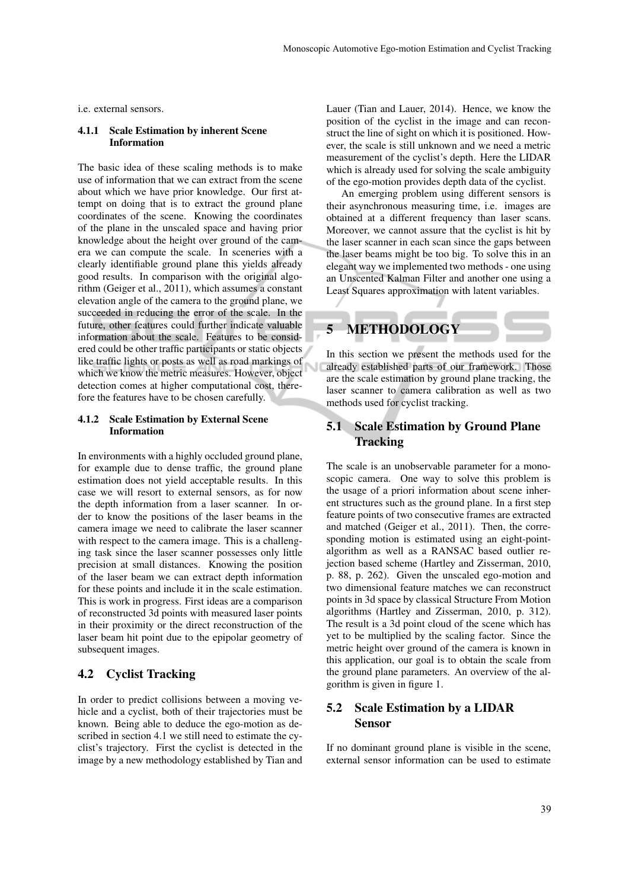i.e. external sensors.

#### 4.1.1 Scale Estimation by inherent Scene Information

The basic idea of these scaling methods is to make use of information that we can extract from the scene about which we have prior knowledge. Our first attempt on doing that is to extract the ground plane coordinates of the scene. Knowing the coordinates of the plane in the unscaled space and having prior knowledge about the height over ground of the camera we can compute the scale. In sceneries with a clearly identifiable ground plane this yields already good results. In comparison with the original algorithm (Geiger et al., 2011), which assumes a constant elevation angle of the camera to the ground plane, we succeeded in reducing the error of the scale. In the future, other features could further indicate valuable information about the scale. Features to be considered could be other traffic participants or static objects like traffic lights or posts as well as road markings of which we know the metric measures. However, object detection comes at higher computational cost, therefore the features have to be chosen carefully.

#### 4.1.2 Scale Estimation by External Scene Information

In environments with a highly occluded ground plane, for example due to dense traffic, the ground plane estimation does not yield acceptable results. In this case we will resort to external sensors, as for now the depth information from a laser scanner. In order to know the positions of the laser beams in the camera image we need to calibrate the laser scanner with respect to the camera image. This is a challenging task since the laser scanner possesses only little precision at small distances. Knowing the position of the laser beam we can extract depth information for these points and include it in the scale estimation. This is work in progress. First ideas are a comparison of reconstructed 3d points with measured laser points in their proximity or the direct reconstruction of the laser beam hit point due to the epipolar geometry of subsequent images.

### 4.2 Cyclist Tracking

In order to predict collisions between a moving vehicle and a cyclist, both of their trajectories must be known. Being able to deduce the ego-motion as described in section 4.1 we still need to estimate the cyclist's trajectory. First the cyclist is detected in the image by a new methodology established by Tian and Lauer (Tian and Lauer, 2014). Hence, we know the position of the cyclist in the image and can reconstruct the line of sight on which it is positioned. However, the scale is still unknown and we need a metric measurement of the cyclist's depth. Here the LIDAR which is already used for solving the scale ambiguity of the ego-motion provides depth data of the cyclist.

An emerging problem using different sensors is their asynchronous measuring time, i.e. images are obtained at a different frequency than laser scans. Moreover, we cannot assure that the cyclist is hit by the laser scanner in each scan since the gaps between the laser beams might be too big. To solve this in an elegant way we implemented two methods - one using an Unscented Kalman Filter and another one using a Least Squares approximation with latent variables.



In this section we present the methods used for the already established parts of our framework. Those are the scale estimation by ground plane tracking, the laser scanner to camera calibration as well as two methods used for cyclist tracking.

# 5.1 Scale Estimation by Ground Plane **Tracking**

The scale is an unobservable parameter for a monoscopic camera. One way to solve this problem is the usage of a priori information about scene inherent structures such as the ground plane. In a first step feature points of two consecutive frames are extracted and matched (Geiger et al., 2011). Then, the corresponding motion is estimated using an eight-pointalgorithm as well as a RANSAC based outlier rejection based scheme (Hartley and Zisserman, 2010, p. 88, p. 262). Given the unscaled ego-motion and two dimensional feature matches we can reconstruct points in 3d space by classical Structure From Motion algorithms (Hartley and Zisserman, 2010, p. 312). The result is a 3d point cloud of the scene which has yet to be multiplied by the scaling factor. Since the metric height over ground of the camera is known in this application, our goal is to obtain the scale from the ground plane parameters. An overview of the algorithm is given in figure 1.

## 5.2 Scale Estimation by a LIDAR Sensor

If no dominant ground plane is visible in the scene, external sensor information can be used to estimate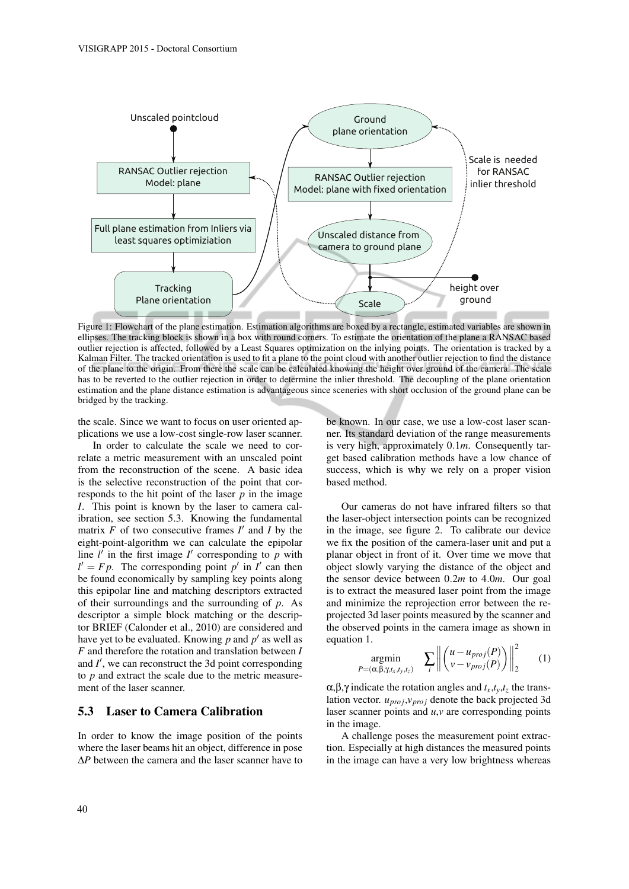

Figure 1: Flowchart of the plane estimation. Estimation algorithms are boxed by a rectangle, estimated variables are shown in ellipses. The tracking block is shown in a box with round corners. To estimate the orientation of the plane a RANSAC based outlier rejection is affected, followed by a Least Squares optimization on the inlying points. The orientation is tracked by a Kalman Filter. The tracked orientation is used to fit a plane to the point cloud with another outlier rejection to find the distance of the plane to the origin. From there the scale can be calculated knowing the height over ground of the camera. The scale has to be reverted to the outlier rejection in order to determine the inlier threshold. The decoupling of the plane orientation estimation and the plane distance estimation is advantageous since sceneries with short occlusion of the ground plane can be bridged by the tracking.

the scale. Since we want to focus on user oriented applications we use a low-cost single-row laser scanner.

In order to calculate the scale we need to correlate a metric measurement with an unscaled point from the reconstruction of the scene. A basic idea is the selective reconstruction of the point that corresponds to the hit point of the laser *p* in the image *I*. This point is known by the laser to camera calibration, see section 5.3. Knowing the fundamental matrix  $F$  of two consecutive frames  $I'$  and  $I$  by the eight-point-algorithm we can calculate the epipolar line  $l'$  in the first image  $l'$  corresponding to  $p$  with  $l' = Fp$ . The corresponding point *p*<sup>'</sup> in *I*<sup>'</sup> can then be found economically by sampling key points along this epipolar line and matching descriptors extracted of their surroundings and the surrounding of *p*. As descriptor a simple block matching or the descriptor BRIEF (Calonder et al., 2010) are considered and have yet to be evaluated. Knowing  $p$  and  $p'$  as well as *F* and therefore the rotation and translation between *I* and  $I'$ , we can reconstruct the 3d point corresponding to *p* and extract the scale due to the metric measurement of the laser scanner.

### 5.3 Laser to Camera Calibration

In order to know the image position of the points where the laser beams hit an object, difference in pose ∆*P* between the camera and the laser scanner have to

be known. In our case, we use a low-cost laser scanner. Its standard deviation of the range measurements is very high, approximately 0.1*m*. Consequently target based calibration methods have a low chance of success, which is why we rely on a proper vision based method.

Our cameras do not have infrared filters so that the laser-object intersection points can be recognized in the image, see figure 2. To calibrate our device we fix the position of the camera-laser unit and put a planar object in front of it. Over time we move that object slowly varying the distance of the object and the sensor device between 0.2*m* to 4.0*m*. Our goal is to extract the measured laser point from the image and minimize the reprojection error between the reprojected 3d laser points measured by the scanner and the observed points in the camera image as shown in equation 1.

$$
\underset{P=(\alpha,\beta,\gamma,t_x,t_y,t_z)}{\text{argmin}} \quad \sum_{i} \left\| \begin{pmatrix} u - u_{proj}(P) \\ v - v_{proj}(P) \end{pmatrix} \right\|_{2}^{2} \qquad (1)
$$

α,β,γ indicate the rotation angles and *tx*,*ty*,*t<sup>z</sup>* the translation vector. *upro j*,*vpro j* denote the back projected 3d laser scanner points and *u*,*v* are corresponding points in the image.

A challenge poses the measurement point extraction. Especially at high distances the measured points in the image can have a very low brightness whereas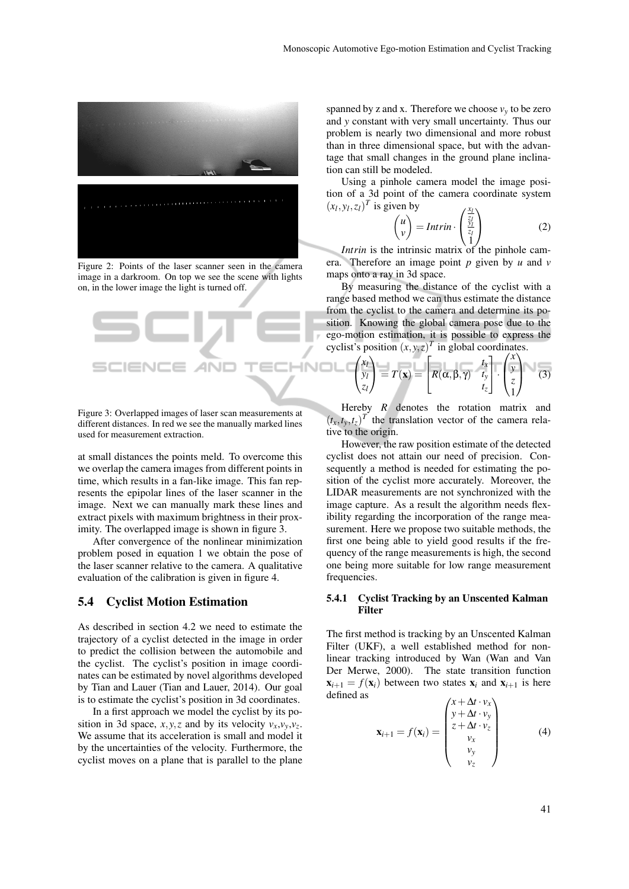

Figure 2: Points of the laser scanner seen in the camera image in a darkroom. On top we see the scene with lights on, in the lower image the light is turned off.



Figure 3: Overlapped images of laser scan measurements at different distances. In red we see the manually marked lines used for measurement extraction.

at small distances the points meld. To overcome this we overlap the camera images from different points in time, which results in a fan-like image. This fan represents the epipolar lines of the laser scanner in the image. Next we can manually mark these lines and extract pixels with maximum brightness in their proximity. The overlapped image is shown in figure 3.

After convergence of the nonlinear minimization problem posed in equation 1 we obtain the pose of the laser scanner relative to the camera. A qualitative evaluation of the calibration is given in figure 4.

### 5.4 Cyclist Motion Estimation

As described in section 4.2 we need to estimate the trajectory of a cyclist detected in the image in order to predict the collision between the automobile and the cyclist. The cyclist's position in image coordinates can be estimated by novel algorithms developed by Tian and Lauer (Tian and Lauer, 2014). Our goal is to estimate the cyclist's position in 3d coordinates.

In a first approach we model the cyclist by its position in 3d space, *x*, *y*, *z* and by its velocity  $v_x$ ,  $v_y$ ,  $v_z$ . We assume that its acceleration is small and model it by the uncertainties of the velocity. Furthermore, the cyclist moves on a plane that is parallel to the plane

spanned by z and x. Therefore we choose  $v_y$  to be zero and *y* constant with very small uncertainty. Thus our problem is nearly two dimensional and more robust than in three dimensional space, but with the advantage that small changes in the ground plane inclination can still be modeled.

Using a pinhole camera model the image position of a 3d point of the camera coordinate system  $(x_l, y_l, z_l)^T$  is given by *xl*

$$
\begin{pmatrix} u \\ v \end{pmatrix} = Intrin \cdot \begin{pmatrix} \frac{\lambda_1}{z_l} \\ \frac{\nu_1}{z_l} \\ 1 \end{pmatrix}
$$
 (2)

*Intrin* is the intrinsic matrix of the pinhole camera. Therefore an image point *p* given by *u* and *v* maps onto a ray in 3d space.

By measuring the distance of the cyclist with a range based method we can thus estimate the distance from the cyclist to the camera and determine its position. Knowing the global camera pose due to the ego-motion estimation, it is possible to express the cyclist's position  $(x, y, z)^T$  in global coordinates.

$$
T = \begin{pmatrix} x_1 \\ y_1 \\ z_1 \end{pmatrix} = T(\overline{\mathbf{x}}) = \begin{bmatrix} x_1 \\ R(\alpha, \beta, \gamma) & t_x \\ t_z \end{bmatrix} \begin{bmatrix} x \\ y \\ t_z \end{bmatrix} \begin{bmatrix} x \\ y \\ z \end{bmatrix}
$$
(3)

Hereby *R* denotes the rotation matrix and  $(t_x, t_y, t_z)^T$  the translation vector of the camera relative to the origin.

However, the raw position estimate of the detected cyclist does not attain our need of precision. Consequently a method is needed for estimating the position of the cyclist more accurately. Moreover, the LIDAR measurements are not synchronized with the image capture. As a result the algorithm needs flexibility regarding the incorporation of the range measurement. Here we propose two suitable methods, the first one being able to yield good results if the frequency of the range measurements is high, the second one being more suitable for low range measurement frequencies.

#### 5.4.1 Cyclist Tracking by an Unscented Kalman Filter

The first method is tracking by an Unscented Kalman Filter (UKF), a well established method for nonlinear tracking introduced by Wan (Wan and Van Der Merwe, 2000). The state transition function  $\mathbf{x}_{i+1} = f(\mathbf{x}_i)$  between two states  $\mathbf{x}_i$  and  $\mathbf{x}_{i+1}$  is here defined as

$$
\mathbf{x}_{i+1} = f(\mathbf{x}_i) = \begin{pmatrix} x + \Delta t \cdot v_x \\ y + \Delta t \cdot v_y \\ z + \Delta t \cdot v_z \\ v_x \\ v_y \\ v_z \end{pmatrix}
$$
 (4)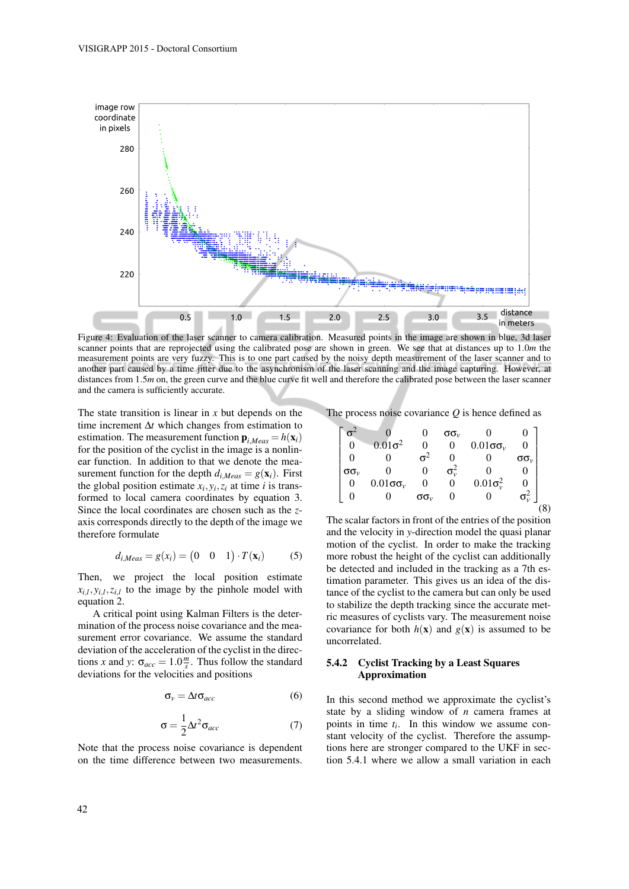

Figure 4: Evaluation of the laser scanner to camera calibration. Measured points in the image are shown in blue, 3d laser scanner points that are reprojected using the calibrated pose are shown in green. We see that at distances up to 1.0*m* the measurement points are very fuzzy. This is to one part caused by the noisy depth measurement of the laser scanner and to another part caused by a time jitter due to the asynchronism of the laser scanning and the image capturing. However, at distances from 1.5*m* on, the green curve and the blue curve fit well and therefore the calibrated pose between the laser scanner and the camera is sufficiently accurate.

The state transition is linear in *x* but depends on the time increment ∆*t* which changes from estimation to estimation. The measurement function  $\mathbf{p}_{i \text{ } M_{e}a s} = h(\mathbf{x}_{i})$ for the position of the cyclist in the image is a nonlinear function. In addition to that we denote the measurement function for the depth  $d_{i,Meas} = g(\mathbf{x}_i)$ . First the global position estimate  $x_i, y_i, z_i$  at time *i* is transformed to local camera coordinates by equation 3. Since the local coordinates are chosen such as the *z*axis corresponds directly to the depth of the image we therefore formulate

$$
d_{i,Meas} = g(x_i) = \begin{pmatrix} 0 & 0 & 1 \end{pmatrix} \cdot T(\mathbf{x}_i) \tag{5}
$$

Then, we project the local position estimate  $x_{i,l}, y_{i,l}, z_{i,l}$  to the image by the pinhole model with equation 2.

A critical point using Kalman Filters is the determination of the process noise covariance and the measurement error covariance. We assume the standard deviation of the acceleration of the cyclist in the directions *x* and *y*:  $\sigma_{acc} = 1.0 \frac{m}{s}$ . Thus follow the standard deviations for the velocities and positions

$$
\sigma_{v} = \Delta t \sigma_{acc} \tag{6}
$$

$$
\sigma = \frac{1}{2} \Delta t^2 \sigma_{acc} \tag{7}
$$

Note that the process noise covariance is dependent on the time difference between two measurements.

The process noise covariance *Q* is hence defined as

$$
\begin{bmatrix}\n\sigma^2 & 0 & 0 & \sigma\sigma_v & 0 & 0 \\
0 & 0.01\sigma^2 & 0 & 0 & 0.01\sigma\sigma_v & 0 \\
0 & 0 & \sigma^2 & 0 & 0 & \sigma\sigma_v \\
\sigma\sigma_v & 0 & 0 & \sigma_v^2 & 0 & 0 \\
0 & 0.01\sigma\sigma_v & 0 & 0 & 0.01\sigma_v^2 & 0 \\
0 & 0 & \sigma\sigma_v & 0 & 0 & \sigma_v^2\n\end{bmatrix}_{(8)}
$$

The scalar factors in front of the entries of the position and the velocity in *y*-direction model the quasi planar motion of the cyclist. In order to make the tracking more robust the height of the cyclist can additionally be detected and included in the tracking as a 7th estimation parameter. This gives us an idea of the distance of the cyclist to the camera but can only be used to stabilize the depth tracking since the accurate metric measures of cyclists vary. The measurement noise covariance for both  $h(x)$  and  $g(x)$  is assumed to be uncorrelated.

#### 5.4.2 Cyclist Tracking by a Least Squares Approximation

In this second method we approximate the cyclist's state by a sliding window of *n* camera frames at points in time *t<sup>i</sup>* . In this window we assume constant velocity of the cyclist. Therefore the assumptions here are stronger compared to the UKF in section 5.4.1 where we allow a small variation in each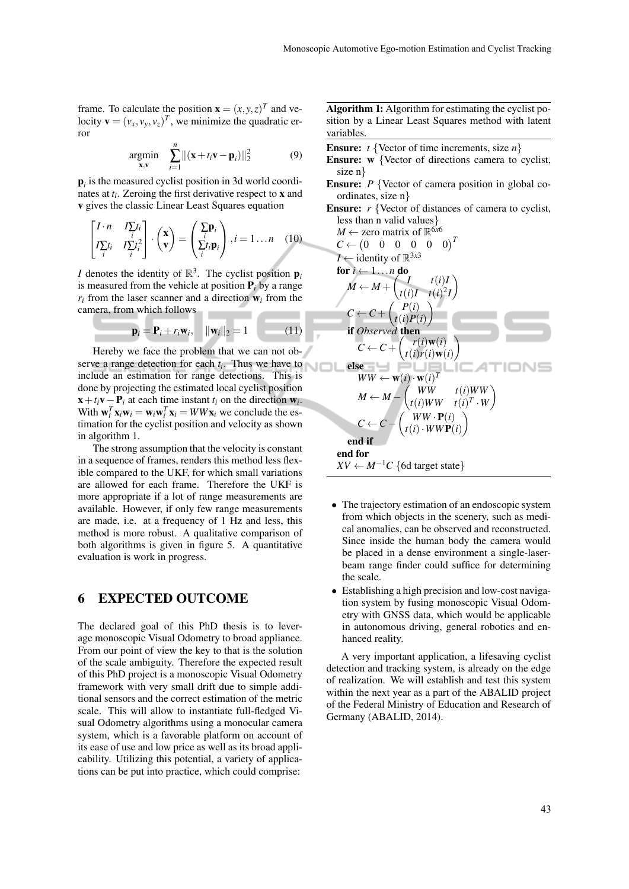frame. To calculate the position  $\mathbf{x} = (x, y, z)^T$  and velocity  $\mathbf{v} = (v_x, v_y, v_z)^T$ , we minimize the quadratic error

$$
\underset{\mathbf{x},\mathbf{v}}{\text{argmin}} \quad \sum_{i=1}^{n} \left\| (\mathbf{x} + t_i \mathbf{v} - \mathbf{p}_i) \right\|_2^2 \tag{9}
$$

p*i* is the measured cyclist position in 3d world coordinates at *t<sup>i</sup>* . Zeroing the first derivative respect to x and v gives the classic Linear Least Squares equation

$$
\begin{bmatrix} I \cdot n & I \sum_i t_i \\ I \sum_i t_i & I \sum_i t_i^2 \end{bmatrix} \cdot \begin{pmatrix} \mathbf{x} \\ \mathbf{v} \end{pmatrix} = \begin{pmatrix} \sum_i \mathbf{p}_i \\ \sum_i t_i \mathbf{p}_i \end{pmatrix}, i = 1 \dots n \quad (10)
$$

*I* denotes the identity of  $\mathbb{R}^3$ . The cyclist position  $p_i$ is measured from the vehicle at position  $P_i$  by a range  $r_i$  from the laser scanner and a direction  $w_i$  from the camera, from which follows

$$
\mathbf{p}_i = \mathbf{P}_i + r_i \mathbf{w}_i, \quad ||\mathbf{w}_i||_2 = 1 \quad (11)
$$

Hereby we face the problem that we can not observe a range detection for each *t<sup>i</sup>* . Thus we have to include an estimation for range detections. This is done by projecting the estimated local cyclist position  $\mathbf{x} + t_i \mathbf{v} - \mathbf{P}_i$  at each time instant  $t_i$  on the direction  $\mathbf{w}_i$ . With  $\mathbf{w}_i^T \mathbf{x}_i \mathbf{w}_i = \mathbf{w}_i \mathbf{w}_i^T \mathbf{x}_i = WW \mathbf{x}_i$  we conclude the estimation for the cyclist position and velocity as shown in algorithm 1.

The strong assumption that the velocity is constant in a sequence of frames, renders this method less flexible compared to the UKF, for which small variations are allowed for each frame. Therefore the UKF is more appropriate if a lot of range measurements are available. However, if only few range measurements are made, i.e. at a frequency of 1 Hz and less, this method is more robust. A qualitative comparison of both algorithms is given in figure 5. A quantitative evaluation is work in progress.

### 6 EXPECTED OUTCOME

The declared goal of this PhD thesis is to leverage monoscopic Visual Odometry to broad appliance. From our point of view the key to that is the solution of the scale ambiguity. Therefore the expected result of this PhD project is a monoscopic Visual Odometry framework with very small drift due to simple additional sensors and the correct estimation of the metric scale. This will allow to instantiate full-fledged Visual Odometry algorithms using a monocular camera system, which is a favorable platform on account of its ease of use and low price as well as its broad applicability. Utilizing this potential, a variety of applications can be put into practice, which could comprise:

Algorithm 1: Algorithm for estimating the cyclist position by a Linear Least Squares method with latent variables.

- Ensure: *t* {Vector of time increments, size *n*}
- Ensure: w {Vector of directions camera to cyclist, size n}
- **Ensure:** *P* {Vector of camera position in global coordinates, size n}
- **Ensure:** *r* {Vector of distances of camera to cyclist, less than n valid values}  $M \leftarrow$  zero matrix of  $\mathbb{R}^{6x6}$

$$
C \leftarrow (0 \quad 0 \quad 0 \quad 0 \quad 0)^T
$$
\n
$$
I \leftarrow \text{identity of } \mathbb{R}^{3\times 3}
$$
\n**for**  $i \leftarrow 1 \dots n$  **do**\n
$$
M \leftarrow M + \begin{pmatrix} I & t(i)I \\ t(i)I & t(i)^2I \end{pmatrix}
$$
\n
$$
C \leftarrow C + \begin{pmatrix} P(i) \\ t(i)P(i) \end{pmatrix}
$$
\n**if** Observed **then**\n
$$
C \leftarrow C + \begin{pmatrix} r(i)w(i) \\ t(i)r(i)w(i) \end{pmatrix}
$$
\n**else**\n
$$
WW \leftarrow w(i) \cdot w(i)^T
$$
\n
$$
M \leftarrow M - \begin{pmatrix} WW & t(i)WW \\ t(i)WW & t(i)^T \cdot W \end{pmatrix}
$$
\n
$$
C \leftarrow C - \begin{pmatrix} WW & t(i)WW \\ t(i)WW & t(i)^T \cdot W \end{pmatrix}
$$
\n
$$
C \leftarrow C - \begin{pmatrix} WW \cdot P(i) \\ t(i) \cdot WWP(i) \end{pmatrix}
$$
\n**end if**\n**end for**\n
$$
XV \leftarrow M^{-1}C \text{ {6d target state}}
$$

- The trajectory estimation of an endoscopic system from which objects in the scenery, such as medical anomalies, can be observed and reconstructed. Since inside the human body the camera would be placed in a dense environment a single-laserbeam range finder could suffice for determining the scale.
- Establishing a high precision and low-cost navigation system by fusing monoscopic Visual Odometry with GNSS data, which would be applicable in autonomous driving, general robotics and enhanced reality.

A very important application, a lifesaving cyclist detection and tracking system, is already on the edge of realization. We will establish and test this system within the next year as a part of the ABALID project of the Federal Ministry of Education and Research of Germany (ABALID, 2014).